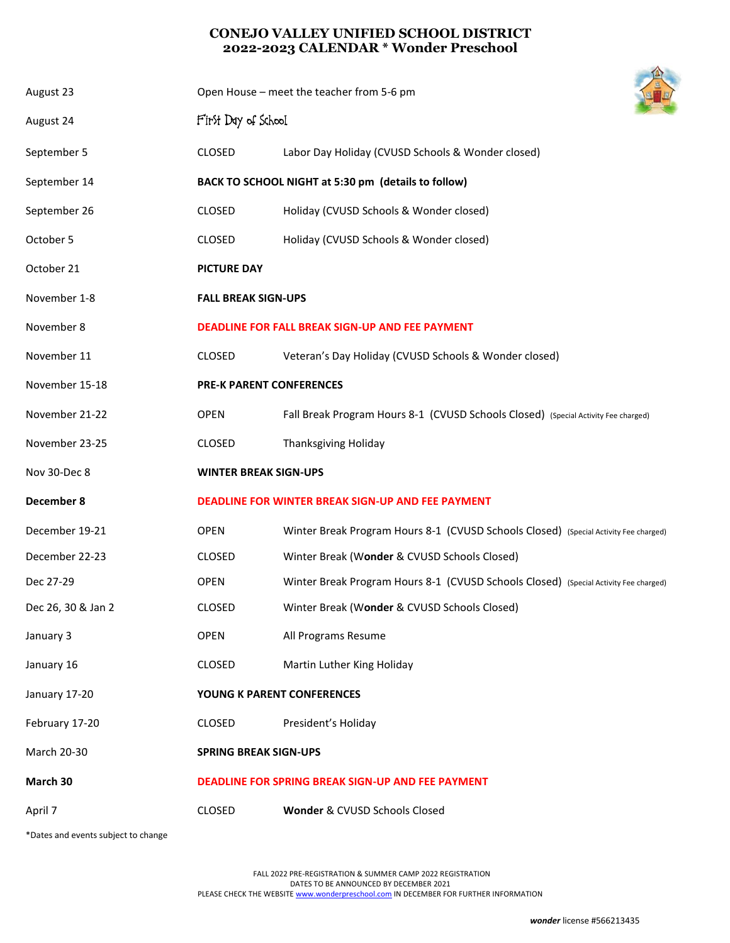## **CONEJO VALLEY UNIFIED SCHOOL DISTRICT 2022-2023 CALENDAR \* Wonder Preschool**

| August 23          | Open House - meet the teacher from 5-6 pm                |                                                                                      |  |
|--------------------|----------------------------------------------------------|--------------------------------------------------------------------------------------|--|
| August 24          | First Day of School                                      |                                                                                      |  |
| September 5        | CLOSED                                                   | Labor Day Holiday (CVUSD Schools & Wonder closed)                                    |  |
| September 14       | BACK TO SCHOOL NIGHT at 5:30 pm (details to follow)      |                                                                                      |  |
| September 26       | <b>CLOSED</b>                                            | Holiday (CVUSD Schools & Wonder closed)                                              |  |
| October 5          | <b>CLOSED</b>                                            | Holiday (CVUSD Schools & Wonder closed)                                              |  |
| October 21         | <b>PICTURE DAY</b>                                       |                                                                                      |  |
| November 1-8       | <b>FALL BREAK SIGN-UPS</b>                               |                                                                                      |  |
| November 8         |                                                          | <b>DEADLINE FOR FALL BREAK SIGN-UP AND FEE PAYMENT</b>                               |  |
| November 11        | <b>CLOSED</b>                                            | Veteran's Day Holiday (CVUSD Schools & Wonder closed)                                |  |
| November 15-18     | <b>PRE-K PARENT CONFERENCES</b>                          |                                                                                      |  |
| November 21-22     | <b>OPEN</b>                                              | Fall Break Program Hours 8-1 (CVUSD Schools Closed) (Special Activity Fee charged)   |  |
| November 23-25     | CLOSED                                                   | <b>Thanksgiving Holiday</b>                                                          |  |
| Nov 30-Dec 8       | <b>WINTER BREAK SIGN-UPS</b>                             |                                                                                      |  |
| December 8         | DEADLINE FOR WINTER BREAK SIGN-UP AND FEE PAYMENT        |                                                                                      |  |
| December 19-21     | <b>OPEN</b>                                              | Winter Break Program Hours 8-1 (CVUSD Schools Closed) (Special Activity Fee charged) |  |
| December 22-23     | <b>CLOSED</b>                                            | Winter Break (Wonder & CVUSD Schools Closed)                                         |  |
| Dec 27-29          | <b>OPEN</b>                                              | Winter Break Program Hours 8-1 (CVUSD Schools Closed) (Special Activity Fee charged) |  |
| Dec 26, 30 & Jan 2 | CLOSED                                                   | Winter Break (Wonder & CVUSD Schools Closed)                                         |  |
| January 3          | <b>OPEN</b>                                              | All Programs Resume                                                                  |  |
| January 16         | CLOSED                                                   | Martin Luther King Holiday                                                           |  |
| January 17-20      | YOUNG K PARENT CONFERENCES                               |                                                                                      |  |
| February 17-20     | CLOSED                                                   | President's Holiday                                                                  |  |
| March 20-30        | <b>SPRING BREAK SIGN-UPS</b>                             |                                                                                      |  |
| March 30           | <b>DEADLINE FOR SPRING BREAK SIGN-UP AND FEE PAYMENT</b> |                                                                                      |  |
| April 7            | CLOSED                                                   | Wonder & CVUSD Schools Closed                                                        |  |

\*Dates and events subject to change